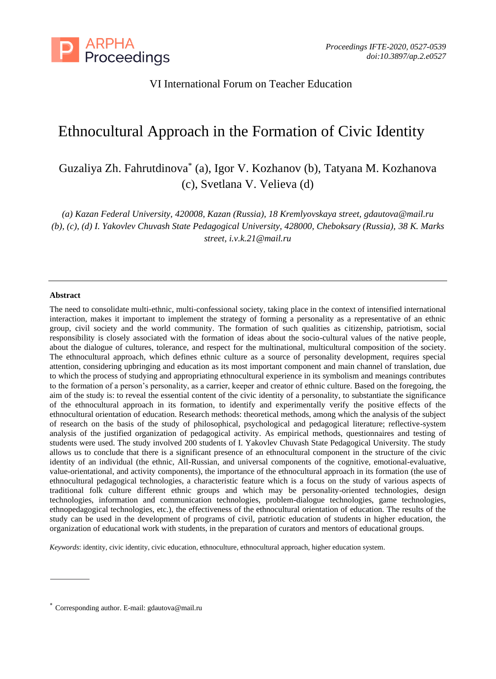

# VI International Forum on Teacher Education

# Ethnocultural Approach in the Formation of Civic Identity

Guzaliya Zh. Fahrutdinova\* (a), Igor V. Kozhanov (b), Tatyana M. Kozhanova (c), Svetlana V. Velieva (d)

*(a) Kazan Federal University, 420008, Kazan (Russia), 18 Kremlyovskaya street, gdautova@mail.ru (b), (c), (d) I. Yakovlev Chuvash State Pedagogical University, 428000, Cheboksary (Russia), 38 K. Marks street, i.v.k.21@mail.ru*

#### **Abstract**

The need to consolidate multi-ethnic, multi-confessional society, taking place in the context of intensified international interaction, makes it important to implement the strategy of forming a personality as a representative of an ethnic group, civil society and the world community. The formation of such qualities as citizenship, patriotism, social responsibility is closely associated with the formation of ideas about the socio-cultural values of the native people, about the dialogue of cultures, tolerance, and respect for the multinational, multicultural composition of the society. The ethnocultural approach, which defines ethnic culture as a source of personality development, requires special attention, considering upbringing and education as its most important component and main channel of translation, due to which the process of studying and appropriating ethnocultural experience in its symbolism and meanings contributes to the formation of a person's personality, as a carrier, keeper and creator of ethnic culture. Based on the foregoing, the aim of the study is: to reveal the essential content of the civic identity of a personality, to substantiate the significance of the ethnocultural approach in its formation, to identify and experimentally verify the positive effects of the ethnocultural orientation of education. Research methods: theoretical methods, among which the analysis of the subject of research on the basis of the study of philosophical, psychological and pedagogical literature; reflective-system analysis of the justified organization of pedagogical activity. As empirical methods, questionnaires and testing of students were used. The study involved 200 students of I. Yakovlev Chuvash State Pedagogical University. The study allows us to conclude that there is a significant presence of an ethnocultural component in the structure of the civic identity of an individual (the ethnic, All-Russian, and universal components of the cognitive, emotional-evaluative, value-orientational, and activity components), the importance of the ethnocultural approach in its formation (the use of ethnocultural pedagogical technologies, a characteristic feature which is a focus on the study of various aspects of traditional folk culture different ethnic groups and which may be personality-oriented technologies, design technologies, information and communication technologies, problem-dialogue technologies, game technologies, ethnopedagogical technologies, etc.), the effectiveness of the ethnocultural orientation of education. The results of the study can be used in the development of programs of civil, patriotic education of students in higher education, the organization of educational work with students, in the preparation of curators and mentors of educational groups.

*Keywords*: identity, civic identity, civic education, ethnoculture, ethnocultural approach, higher education system.

<sup>\*</sup> Corresponding author. E-mail: gdautova@mail.ru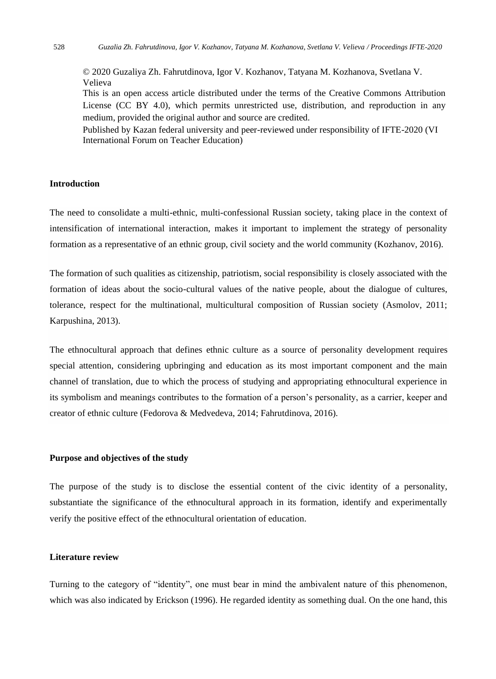© 2020 Guzaliya Zh. Fahrutdinova, Igor V. Kozhanov, Tatyana M. Kozhanova, Svetlana V. Velieva

This is an open access article distributed under the terms of the Creative Commons Attribution License (CC BY 4.0), which permits unrestricted use, distribution, and reproduction in any medium, provided the original author and source are credited.

Published by Kazan federal university and peer-reviewed under responsibility of IFTE-2020 (VI International Forum on Teacher Education)

## **Introduction**

The need to consolidate a multi-ethnic, multi-confessional Russian society, taking place in the context of intensification of international interaction, makes it important to implement the strategy of personality formation as a representative of an ethnic group, civil society and the world community (Kozhanov, 2016).

The formation of such qualities as citizenship, patriotism, social responsibility is closely associated with the formation of ideas about the socio-cultural values of the native people, about the dialogue of cultures, tolerance, respect for the multinational, multicultural composition of Russian society (Asmolov, 2011; Karpushina, 2013).

The ethnocultural approach that defines ethnic culture as a source of personality development requires special attention, considering upbringing and education as its most important component and the main channel of translation, due to which the process of studying and appropriating ethnocultural experience in its symbolism and meanings contributes to the formation of a person's personality, as a carrier, keeper and creator of ethnic culture (Fedorova & Medvedeva, 2014; Fahrutdinova, 2016).

#### **Purpose and objectives of the study**

The purpose of the study is to disclose the essential content of the civic identity of a personality, substantiate the significance of the ethnocultural approach in its formation, identify and experimentally verify the positive effect of the ethnocultural orientation of education.

#### **Literature review**

Turning to the category of "identity", one must bear in mind the ambivalent nature of this phenomenon, which was also indicated by Erickson (1996). He regarded identity as something dual. On the one hand, this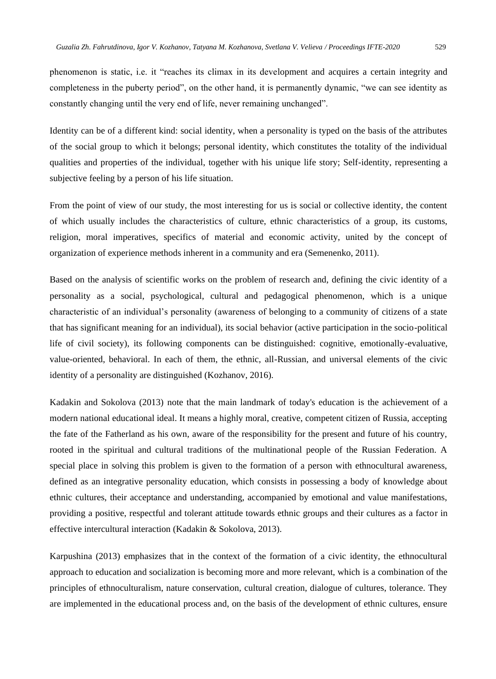phenomenon is static, i.e. it "reaches its climax in its development and acquires a certain integrity and completeness in the puberty period", on the other hand, it is permanently dynamic, "we can see identity as constantly changing until the very end of life, never remaining unchanged".

Identity can be of a different kind: social identity, when a personality is typed on the basis of the attributes of the social group to which it belongs; personal identity, which constitutes the totality of the individual qualities and properties of the individual, together with his unique life story; Self-identity, representing a subjective feeling by a person of his life situation.

From the point of view of our study, the most interesting for us is social or collective identity, the content of which usually includes the characteristics of culture, ethnic characteristics of a group, its customs, religion, moral imperatives, specifics of material and economic activity, united by the concept of organization of experience methods inherent in a community and era (Semenenko, 2011).

Based on the analysis of scientific works on the problem of research and, defining the civic identity of a personality as a social, psychological, cultural and pedagogical phenomenon, which is a unique characteristic of an individual's personality (awareness of belonging to a community of citizens of a state that has significant meaning for an individual), its social behavior (active participation in the socio-political life of civil society), its following components can be distinguished: cognitive, emotionally-evaluative, value-oriented, behavioral. In each of them, the ethnic, all-Russian, and universal elements of the civic identity of a personality are distinguished (Kozhanov, 2016).

Kadakin and Sokolova (2013) note that the main landmark of today's education is the achievement of a modern national educational ideal. It means a highly moral, creative, competent citizen of Russia, accepting the fate of the Fatherland as his own, aware of the responsibility for the present and future of his country, rooted in the spiritual and cultural traditions of the multinational people of the Russian Federation. A special place in solving this problem is given to the formation of a person with ethnocultural awareness, defined as an integrative personality education, which consists in possessing a body of knowledge about ethnic cultures, their acceptance and understanding, accompanied by emotional and value manifestations, providing a positive, respectful and tolerant attitude towards ethnic groups and their cultures as a factor in effective intercultural interaction (Kadakin & Sokolova, 2013).

Karpushina (2013) emphasizes that in the context of the formation of a civic identity, the ethnocultural approach to education and socialization is becoming more and more relevant, which is a combination of the principles of ethnoculturalism, nature conservation, cultural creation, dialogue of cultures, tolerance. They are implemented in the educational process and, on the basis of the development of ethnic cultures, ensure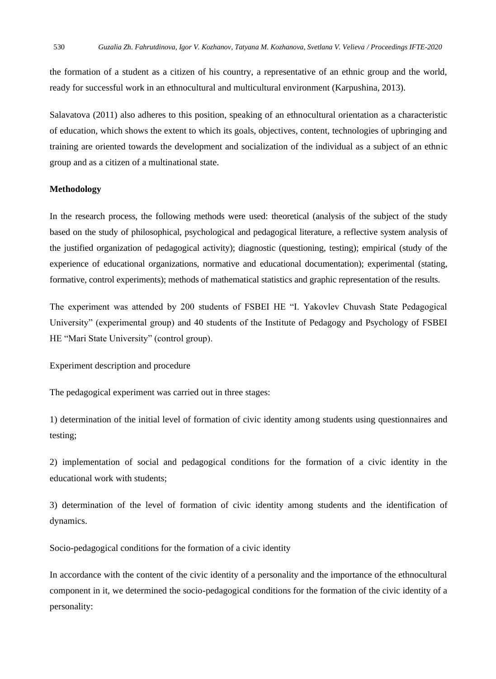the formation of a student as a citizen of his country, a representative of an ethnic group and the world, ready for successful work in an ethnocultural and multicultural environment (Karpushina, 2013).

Salavatova (2011) also adheres to this position, speaking of an ethnocultural orientation as a characteristic of education, which shows the extent to which its goals, objectives, content, technologies of upbringing and training are oriented towards the development and socialization of the individual as a subject of an ethnic group and as a citizen of a multinational state.

#### **Methodology**

In the research process, the following methods were used: theoretical (analysis of the subject of the study based on the study of philosophical, psychological and pedagogical literature, a reflective system analysis of the justified organization of pedagogical activity); diagnostic (questioning, testing); empirical (study of the experience of educational organizations, normative and educational documentation); experimental (stating, formative, control experiments); methods of mathematical statistics and graphic representation of the results.

The experiment was attended by 200 students of FSBEI HE "I. Yakovlev Chuvash State Pedagogical University" (experimental group) and 40 students of the Institute of Pedagogy and Psychology of FSBEI HE "Mari State University" (control group).

Experiment description and procedure

The pedagogical experiment was carried out in three stages:

1) determination of the initial level of formation of civic identity among students using questionnaires and testing;

2) implementation of social and pedagogical conditions for the formation of a civic identity in the educational work with students;

3) determination of the level of formation of civic identity among students and the identification of dynamics.

Socio-pedagogical conditions for the formation of a civic identity

In accordance with the content of the civic identity of a personality and the importance of the ethnocultural component in it, we determined the socio-pedagogical conditions for the formation of the civic identity of a personality: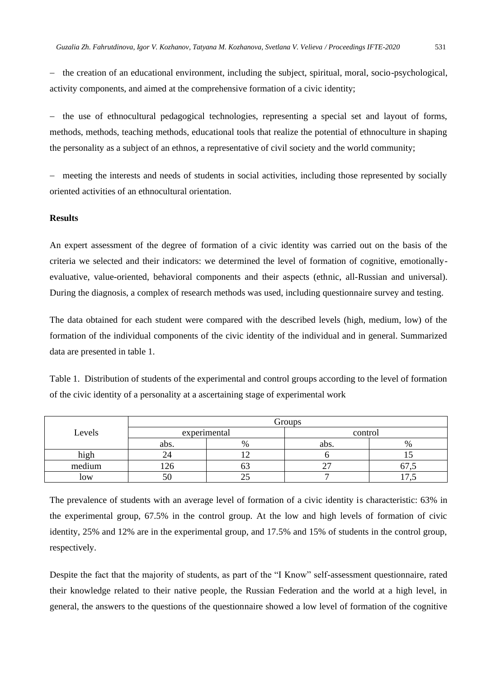− the creation of an educational environment, including the subject, spiritual, moral, socio-psychological, activity components, and aimed at the comprehensive formation of a civic identity;

− the use of ethnocultural pedagogical technologies, representing a special set and layout of forms, methods, methods, teaching methods, educational tools that realize the potential of ethnoculture in shaping the personality as a subject of an ethnos, a representative of civil society and the world community;

− meeting the interests and needs of students in social activities, including those represented by socially oriented activities of an ethnocultural orientation.

# **Results**

An expert assessment of the degree of formation of a civic identity was carried out on the basis of the criteria we selected and their indicators: we determined the level of formation of cognitive, emotionallyevaluative, value-oriented, behavioral components and their aspects (ethnic, all-Russian and universal). During the diagnosis, a complex of research methods was used, including questionnaire survey and testing.

The data obtained for each student were compared with the described levels (high, medium, low) of the formation of the individual components of the civic identity of the individual and in general. Summarized data are presented in table 1.

Table 1. Distribution of students of the experimental and control groups according to the level of formation of the civic identity of a personality at a ascertaining stage of experimental work

|        | Groups |              |         |               |  |  |  |  |
|--------|--------|--------------|---------|---------------|--|--|--|--|
| Levels |        | experimental | control |               |  |  |  |  |
|        | abs.   | $\%$         | abs.    | $\frac{0}{0}$ |  |  |  |  |
| hıgr   |        |              |         |               |  |  |  |  |
| medium |        |              |         | v             |  |  |  |  |
| low    | эU     |              |         |               |  |  |  |  |

The prevalence of students with an average level of formation of a civic identity is characteristic: 63% in the experimental group, 67.5% in the control group. At the low and high levels of formation of civic identity, 25% and 12% are in the experimental group, and 17.5% and 15% of students in the control group, respectively.

Despite the fact that the majority of students, as part of the "I Know" self-assessment questionnaire, rated their knowledge related to their native people, the Russian Federation and the world at a high level, in general, the answers to the questions of the questionnaire showed a low level of formation of the cognitive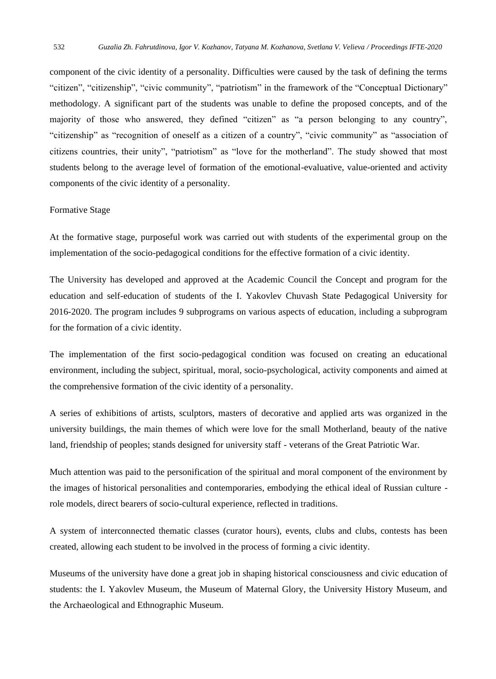component of the civic identity of a personality. Difficulties were caused by the task of defining the terms "citizen", "citizenship", "civic community", "patriotism" in the framework of the "Conceptual Dictionary" methodology. A significant part of the students was unable to define the proposed concepts, and of the majority of those who answered, they defined "citizen" as "a person belonging to any country", "citizenship" as "recognition of oneself as a citizen of a country", "civic community" as "association of citizens countries, their unity", "patriotism" as "love for the motherland". The study showed that most students belong to the average level of formation of the emotional-evaluative, value-oriented and activity components of the civic identity of a personality.

#### Formative Stage

At the formative stage, purposeful work was carried out with students of the experimental group on the implementation of the socio-pedagogical conditions for the effective formation of a civic identity.

The University has developed and approved at the Academic Council the Concept and program for the education and self-education of students of the I. Yakovlev Chuvash State Pedagogical University for 2016-2020. The program includes 9 subprograms on various aspects of education, including a subprogram for the formation of a civic identity.

The implementation of the first socio-pedagogical condition was focused on creating an educational environment, including the subject, spiritual, moral, socio-psychological, activity components and aimed at the comprehensive formation of the civic identity of a personality.

A series of exhibitions of artists, sculptors, masters of decorative and applied arts was organized in the university buildings, the main themes of which were love for the small Motherland, beauty of the native land, friendship of peoples; stands designed for university staff - veterans of the Great Patriotic War.

Much attention was paid to the personification of the spiritual and moral component of the environment by the images of historical personalities and contemporaries, embodying the ethical ideal of Russian culture role models, direct bearers of socio-cultural experience, reflected in traditions.

A system of interconnected thematic classes (curator hours), events, clubs and clubs, contests has been created, allowing each student to be involved in the process of forming a civic identity.

Museums of the university have done a great job in shaping historical consciousness and civic education of students: the I. Yakovlev Museum, the Museum of Maternal Glory, the University History Museum, and the Archaeological and Ethnographic Museum.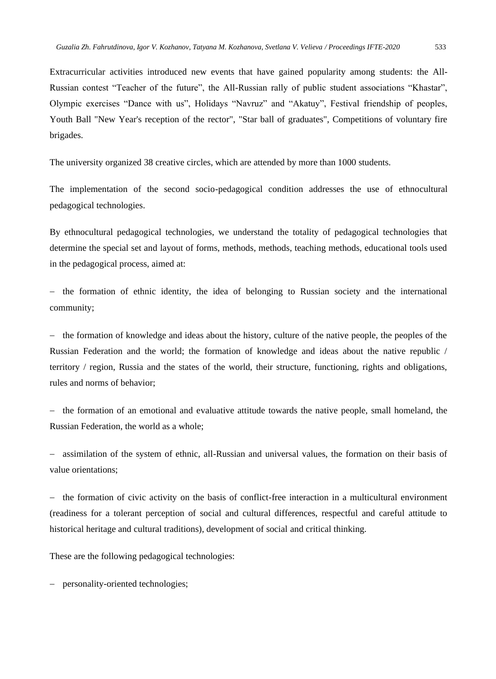Extracurricular activities introduced new events that have gained popularity among students: the All-Russian contest "Teacher of the future", the All-Russian rally of public student associations "Khastar", Olympic exercises "Dance with us", Holidays "Navruz" and "Akatuy", Festival friendship of peoples, Youth Ball "New Year's reception of the rector", "Star ball of graduates", Competitions of voluntary fire brigades.

The university organized 38 creative circles, which are attended by more than 1000 students.

The implementation of the second socio-pedagogical condition addresses the use of ethnocultural pedagogical technologies.

By ethnocultural pedagogical technologies, we understand the totality of pedagogical technologies that determine the special set and layout of forms, methods, methods, teaching methods, educational tools used in the pedagogical process, aimed at:

− the formation of ethnic identity, the idea of belonging to Russian society and the international community;

− the formation of knowledge and ideas about the history, culture of the native people, the peoples of the Russian Federation and the world; the formation of knowledge and ideas about the native republic / territory / region, Russia and the states of the world, their structure, functioning, rights and obligations, rules and norms of behavior;

− the formation of an emotional and evaluative attitude towards the native people, small homeland, the Russian Federation, the world as a whole;

− assimilation of the system of ethnic, all-Russian and universal values, the formation on their basis of value orientations;

the formation of civic activity on the basis of conflict-free interaction in a multicultural environment (readiness for a tolerant perception of social and cultural differences, respectful and careful attitude to historical heritage and cultural traditions), development of social and critical thinking.

These are the following pedagogical technologies:

− personality-oriented technologies;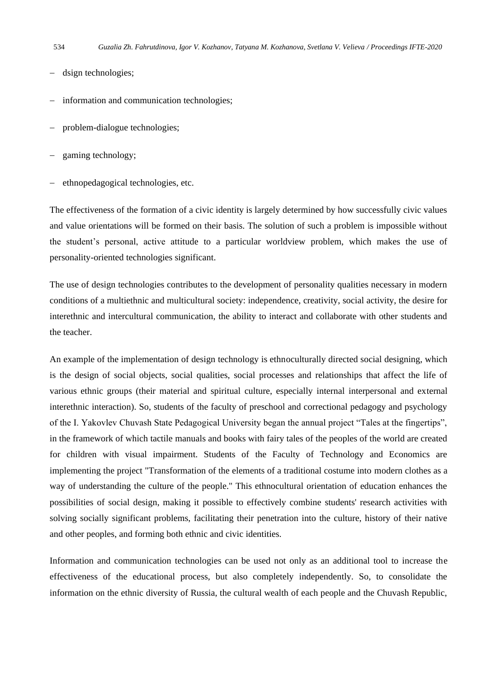- dsign technologies;
- − information and communication technologies;
- problem-dialogue technologies;
- − gaming technology;
- − ethnopedagogical technologies, etc.

The effectiveness of the formation of a civic identity is largely determined by how successfully civic values and value orientations will be formed on their basis. The solution of such a problem is impossible without the student's personal, active attitude to a particular worldview problem, which makes the use of personality-oriented technologies significant.

The use of design technologies contributes to the development of personality qualities necessary in modern conditions of a multiethnic and multicultural society: independence, creativity, social activity, the desire for interethnic and intercultural communication, the ability to interact and collaborate with other students and the teacher.

An example of the implementation of design technology is ethnoculturally directed social designing, which is the design of social objects, social qualities, social processes and relationships that affect the life of various ethnic groups (their material and spiritual culture, especially internal interpersonal and external interethnic interaction). So, students of the faculty of preschool and correctional pedagogy and psychology of the I. Yakovlev Chuvash State Pedagogical University began the annual project "Tales at the fingertips", in the framework of which tactile manuals and books with fairy tales of the peoples of the world are created for children with visual impairment. Students of the Faculty of Technology and Economics are implementing the project "Transformation of the elements of a traditional costume into modern clothes as a way of understanding the culture of the people." This ethnocultural orientation of education enhances the possibilities of social design, making it possible to effectively combine students' research activities with solving socially significant problems, facilitating their penetration into the culture, history of their native and other peoples, and forming both ethnic and civic identities.

Information and communication technologies can be used not only as an additional tool to increase the effectiveness of the educational process, but also completely independently. So, to consolidate the information on the ethnic diversity of Russia, the cultural wealth of each people and the Chuvash Republic,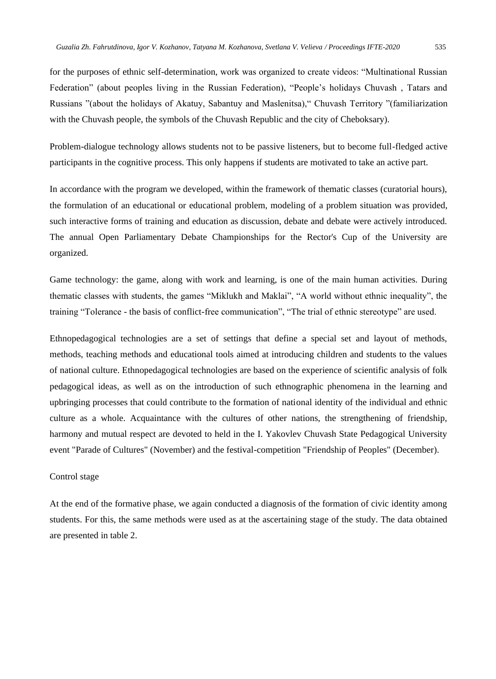for the purposes of ethnic self-determination, work was organized to create videos: "Multinational Russian Federation" (about peoples living in the Russian Federation), "People's holidays Chuvash , Tatars and Russians "(about the holidays of Akatuy, Sabantuy and Maslenitsa)," Chuvash Territory "(familiarization with the Chuvash people, the symbols of the Chuvash Republic and the city of Cheboksary).

Problem-dialogue technology allows students not to be passive listeners, but to become full-fledged active participants in the cognitive process. This only happens if students are motivated to take an active part.

In accordance with the program we developed, within the framework of thematic classes (curatorial hours), the formulation of an educational or educational problem, modeling of a problem situation was provided, such interactive forms of training and education as discussion, debate and debate were actively introduced. The annual Open Parliamentary Debate Championships for the Rector's Cup of the University are organized.

Game technology: the game, along with work and learning, is one of the main human activities. During thematic classes with students, the games "Miklukh and Maklai", "A world without ethnic inequality", the training "Tolerance - the basis of conflict-free communication", "The trial of ethnic stereotype" are used.

Ethnopedagogical technologies are a set of settings that define a special set and layout of methods, methods, teaching methods and educational tools aimed at introducing children and students to the values of national culture. Ethnopedagogical technologies are based on the experience of scientific analysis of folk pedagogical ideas, as well as on the introduction of such ethnographic phenomena in the learning and upbringing processes that could contribute to the formation of national identity of the individual and ethnic culture as a whole. Acquaintance with the cultures of other nations, the strengthening of friendship, harmony and mutual respect are devoted to held in the I. Yakovlev Chuvash State Pedagogical University event "Parade of Cultures" (November) and the festival-competition "Friendship of Peoples" (December).

#### Control stage

At the end of the formative phase, we again conducted a diagnosis of the formation of civic identity among students. For this, the same methods were used as at the ascertaining stage of the study. The data obtained are presented in table 2.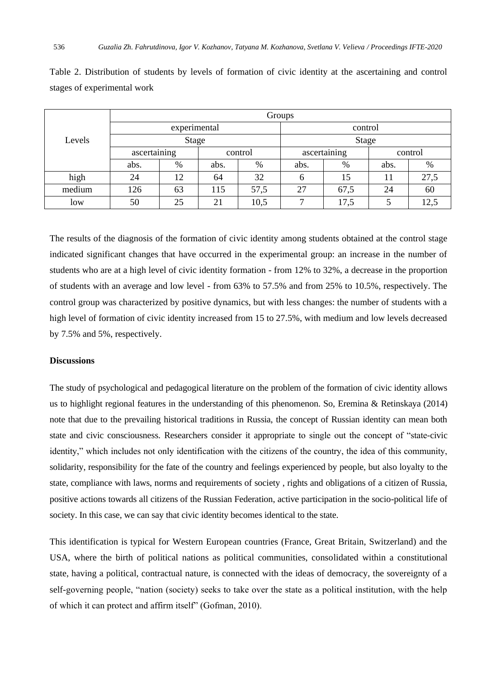| Levels | Groups       |      |         |      |              |      |         |      |  |  |
|--------|--------------|------|---------|------|--------------|------|---------|------|--|--|
|        | experimental |      |         |      | control      |      |         |      |  |  |
|        | <b>Stage</b> |      |         |      | <b>Stage</b> |      |         |      |  |  |
|        | ascertaining |      | control |      | ascertaining |      | control |      |  |  |
|        | abs.         | $\%$ | abs.    | %    | abs.         | %    | abs.    | %    |  |  |
| high   | 24           | 12   | 64      | 32   | 6            | 15   | 11      | 27,5 |  |  |
| medium | 126          | 63   | 115     | 57,5 | 27           | 67,5 | 24      | 60   |  |  |
| low    | 50           | 25   | 21      | 10,5 |              | 17,5 |         | 12.5 |  |  |

Table 2. Distribution of students by levels of formation of civic identity at the ascertaining and control stages of experimental work

The results of the diagnosis of the formation of civic identity among students obtained at the control stage indicated significant changes that have occurred in the experimental group: an increase in the number of students who are at a high level of civic identity formation - from 12% to 32%, a decrease in the proportion of students with an average and low level - from 63% to 57.5% and from 25% to 10.5%, respectively. The control group was characterized by positive dynamics, but with less changes: the number of students with a high level of formation of civic identity increased from 15 to 27.5%, with medium and low levels decreased by 7.5% and 5%, respectively.

# **Discussions**

The study of psychological and pedagogical literature on the problem of the formation of civic identity allows us to highlight regional features in the understanding of this phenomenon. So, Eremina & Retinskaya (2014) note that due to the prevailing historical traditions in Russia, the concept of Russian identity can mean both state and civic consciousness. Researchers consider it appropriate to single out the concept of "state-civic identity," which includes not only identification with the citizens of the country, the idea of this community, solidarity, responsibility for the fate of the country and feelings experienced by people, but also loyalty to the state, compliance with laws, norms and requirements of society , rights and obligations of a citizen of Russia, positive actions towards all citizens of the Russian Federation, active participation in the socio-political life of society. In this case, we can say that civic identity becomes identical to the state.

This identification is typical for Western European countries (France, Great Britain, Switzerland) and the USA, where the birth of political nations as political communities, consolidated within a constitutional state, having a political, contractual nature, is connected with the ideas of democracy, the sovereignty of a self-governing people, "nation (society) seeks to take over the state as a political institution, with the help of which it can protect and affirm itself" (Gofman, 2010).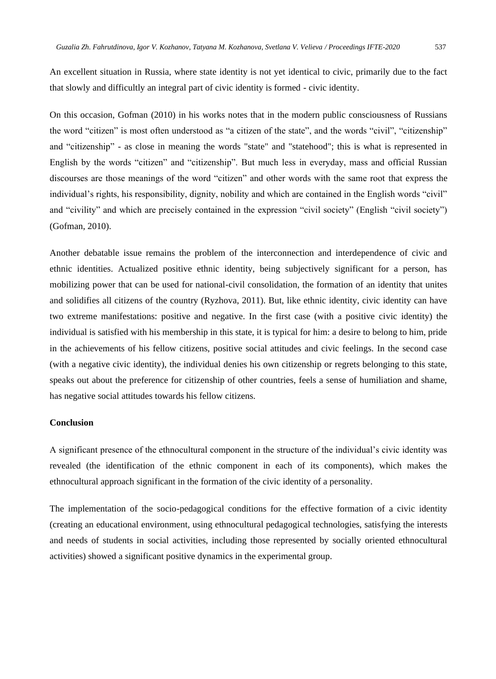An excellent situation in Russia, where state identity is not yet identical to civic, primarily due to the fact that slowly and difficultly an integral part of civic identity is formed - civic identity.

On this occasion, Gofman (2010) in his works notes that in the modern public consciousness of Russians the word "citizen" is most often understood as "a citizen of the state", and the words "civil", "citizenship" and "citizenship" - as close in meaning the words "state" and "statehood"; this is what is represented in English by the words "citizen" and "citizenship". But much less in everyday, mass and official Russian discourses are those meanings of the word "citizen" and other words with the same root that express the individual's rights, his responsibility, dignity, nobility and which are contained in the English words "civil" and "civility" and which are precisely contained in the expression "civil society" (English "civil society") (Gofman, 2010).

Another debatable issue remains the problem of the interconnection and interdependence of civic and ethnic identities. Actualized positive ethnic identity, being subjectively significant for a person, has mobilizing power that can be used for national-civil consolidation, the formation of an identity that unites and solidifies all citizens of the country (Ryzhova, 2011). But, like ethnic identity, civic identity can have two extreme manifestations: positive and negative. In the first case (with a positive civic identity) the individual is satisfied with his membership in this state, it is typical for him: a desire to belong to him, pride in the achievements of his fellow citizens, positive social attitudes and civic feelings. In the second case (with a negative civic identity), the individual denies his own citizenship or regrets belonging to this state, speaks out about the preference for citizenship of other countries, feels a sense of humiliation and shame, has negative social attitudes towards his fellow citizens.

### **Conclusion**

A significant presence of the ethnocultural component in the structure of the individual's civic identity was revealed (the identification of the ethnic component in each of its components), which makes the ethnocultural approach significant in the formation of the civic identity of a personality.

The implementation of the socio-pedagogical conditions for the effective formation of a civic identity (creating an educational environment, using ethnocultural pedagogical technologies, satisfying the interests and needs of students in social activities, including those represented by socially oriented ethnocultural activities) showed a significant positive dynamics in the experimental group.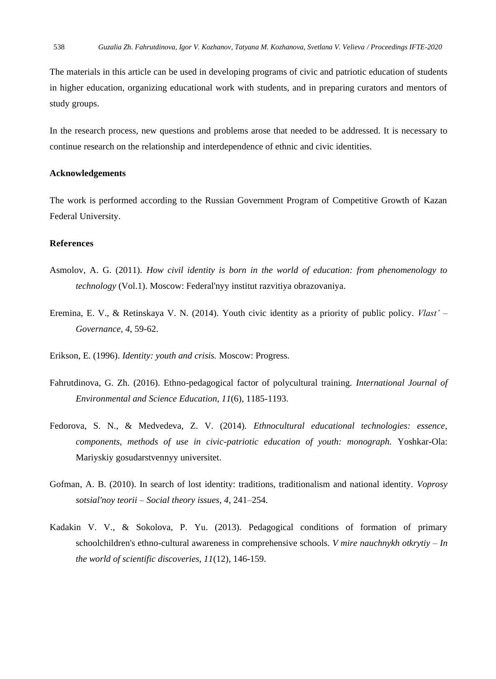The materials in this article can be used in developing programs of civic and patriotic education of students in higher education, organizing educational work with students, and in preparing curators and mentors of study groups.

In the research process, new questions and problems arose that needed to be addressed. It is necessary to continue research on the relationship and interdependence of ethnic and civic identities.

#### **Acknowledgements**

The work is performed according to the Russian Government Program of Competitive Growth of Kazan Federal University.

### **References**

- Asmolov, A. G. (2011). *How civil identity is born in the world of education: from phenomenology to technology* (Vol.1). Moscow: Federal'nyy institut razvitiya obrazovaniya.
- Eremina, E. V., & Retinskaya V. N. (2014). Youth civic identity as a priority of public policy. *Vlast' – Governance, 4*, 59-62.
- Erikson, E. (1996). *Identity: youth and crisis.* Moscow: Progress.
- Fahrutdinova, G. Zh. (2016). Ethno-pedagogical factor of polycultural training. *International Journal of Environmental and Science Education, 11*(6), 1185-1193.
- Fedorova, S. N., & Medvedeva, Z. V. (2014). *Ethnocultural educational technologies: essence, components, methods of use in civic-patriotic education of youth: monograph.* Yoshkar-Ola: Mariyskiy gosudarstvennyy universitet.
- Gofman, A. B. (2010). In search of lost identity: traditions, traditionalism and national identity. *Voprosy sotsial'noy teorii – Social theory issues, 4*, 241–254.
- Kadakin V. V., & Sokolova, P. Yu. (2013). Pedagogical conditions of formation of primary schoolchildren's ethno-cultural awareness in comprehensive schools. *V mire nauchnykh otkrytiy – In the world of scientific discoveries, 11*(12), 146-159.